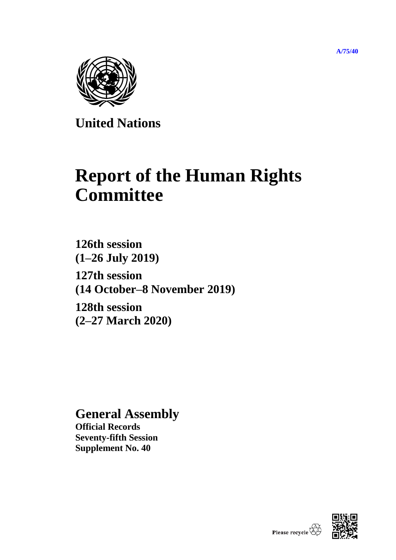**[A/75/40](https://undocs.org/en/A/75/40)**



**United Nations**

# **Report of the Human Rights Committee**

**126th session (1–26 July 2019) 127th session (14 October–8 November 2019) 128th session**

**(2–27 March 2020)**

## **General Assembly**

**Official Records Seventy-fifth Session Supplement No. 40**

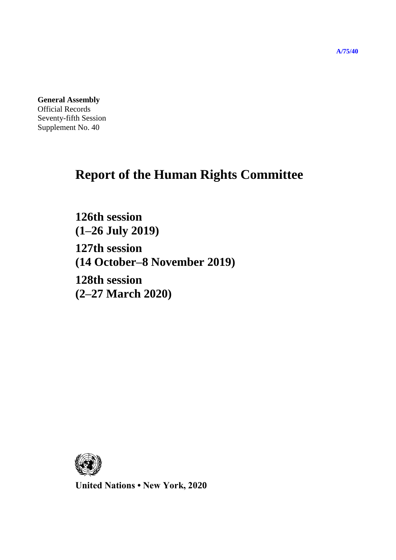**General Assembly**

Official Records Seventy-fifth Session Supplement No. 40

## **Report of the Human Rights Committee**

**126th session (1–26 July 2019) 127th session (14 October–8 November 2019) 128th session (2–27 March 2020)**



**United Nations • New York, 2020**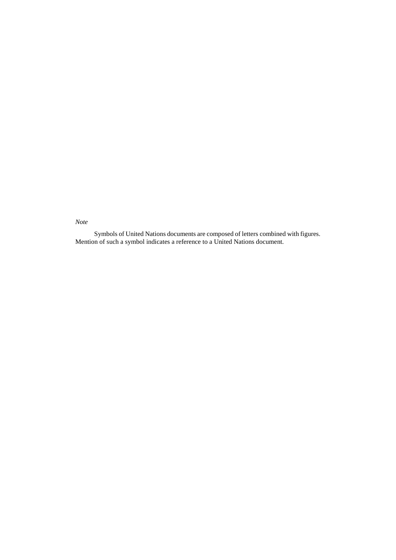*Note*

Symbols of United Nations documents are composed of letters combined with figures. Mention of such a symbol indicates a reference to a United Nations document.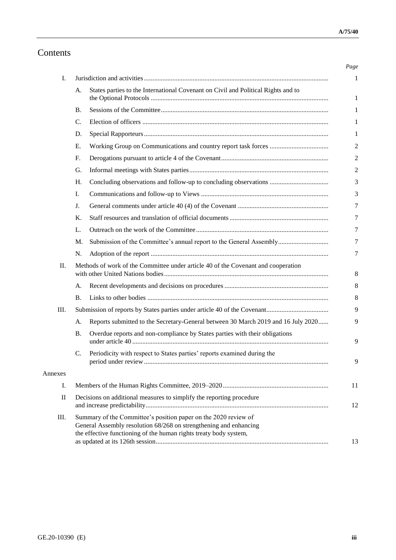## Contents

| Ι.       |                                                                                                                                                                                                           |                                                                                   |  |
|----------|-----------------------------------------------------------------------------------------------------------------------------------------------------------------------------------------------------------|-----------------------------------------------------------------------------------|--|
|          | А.                                                                                                                                                                                                        | States parties to the International Covenant on Civil and Political Rights and to |  |
|          | В.                                                                                                                                                                                                        |                                                                                   |  |
|          | C.                                                                                                                                                                                                        |                                                                                   |  |
|          | D.                                                                                                                                                                                                        |                                                                                   |  |
|          | Ε.                                                                                                                                                                                                        |                                                                                   |  |
|          | F.                                                                                                                                                                                                        |                                                                                   |  |
|          | G.                                                                                                                                                                                                        |                                                                                   |  |
|          | H.                                                                                                                                                                                                        | Concluding observations and follow-up to concluding observations                  |  |
|          | I.                                                                                                                                                                                                        |                                                                                   |  |
|          | J.                                                                                                                                                                                                        |                                                                                   |  |
|          | K.                                                                                                                                                                                                        |                                                                                   |  |
|          | L.                                                                                                                                                                                                        |                                                                                   |  |
|          | M.                                                                                                                                                                                                        | Submission of the Committee's annual report to the General Assembly               |  |
|          | N.                                                                                                                                                                                                        |                                                                                   |  |
| П.       | Methods of work of the Committee under article 40 of the Covenant and cooperation                                                                                                                         |                                                                                   |  |
|          | A.                                                                                                                                                                                                        |                                                                                   |  |
|          | <b>B.</b>                                                                                                                                                                                                 |                                                                                   |  |
| Ш.       |                                                                                                                                                                                                           |                                                                                   |  |
|          | A.                                                                                                                                                                                                        | Reports submitted to the Secretary-General between 30 March 2019 and 16 July 2020 |  |
|          | <b>B.</b>                                                                                                                                                                                                 | Overdue reports and non-compliance by States parties with their obligations       |  |
|          | C.                                                                                                                                                                                                        | Periodicity with respect to States parties' reports examined during the           |  |
| Annexes  |                                                                                                                                                                                                           |                                                                                   |  |
| I.       |                                                                                                                                                                                                           |                                                                                   |  |
| $\rm II$ | Decisions on additional measures to simplify the reporting procedure                                                                                                                                      |                                                                                   |  |
| III.     | Summary of the Committee's position paper on the 2020 review of<br>General Assembly resolution 68/268 on strengthening and enhancing<br>the effective functioning of the human rights treaty body system, |                                                                                   |  |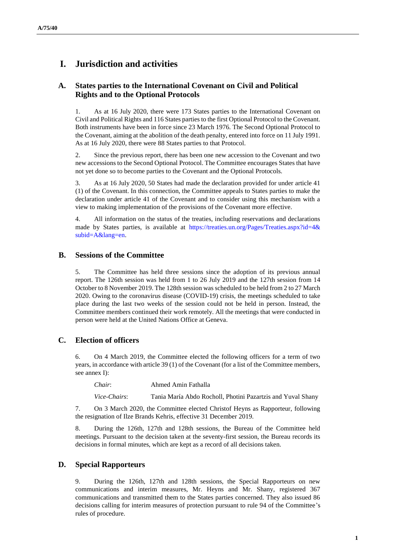## **I. Jurisdiction and activities**

## **A. States parties to the International Covenant on Civil and Political Rights and to the Optional Protocols**

1. As at 16 July 2020, there were 173 States parties to the International Covenant on Civil and Political Rights and 116 States parties to the first Optional Protocol to the Covenant. Both instruments have been in force since 23 March 1976. The Second Optional Protocol to the Covenant, aiming at the abolition of the death penalty, entered into force on 11 July 1991. As at 16 July 2020, there were 88 States parties to that Protocol.

2. Since the previous report, there has been one new accession to the Covenant and two new accessions to the Second Optional Protocol. The Committee encourages States that have not yet done so to become parties to the Covenant and the Optional Protocols.

3. As at 16 July 2020, 50 States had made the declaration provided for under article 41 (1) of the Covenant. In this connection, the Committee appeals to States parties to make the declaration under article 41 of the Covenant and to consider using this mechanism with a view to making implementation of the provisions of the Covenant more effective.

4. All information on the status of the treaties, including reservations and declarations made by States parties, is available at [https://treaties.un.org/Pages/Treaties.aspx?id=4&](https://treaties.un.org/Pages/Treaties.aspx?id=4&subid=A&lang=en) [subid=A&lang=en.](https://treaties.un.org/Pages/Treaties.aspx?id=4&subid=A&lang=en)

#### **B. Sessions of the Committee**

5. The Committee has held three sessions since the adoption of its previous annual report. The 126th session was held from 1 to 26 July 2019 and the 127th session from 14 October to 8 November 2019. The 128th session was scheduled to be held from 2 to 27 March 2020. Owing to the coronavirus disease (COVID-19) crisis, the meetings scheduled to take place during the last two weeks of the session could not be held in person. Instead, the Committee members continued their work remotely. All the meetings that were conducted in person were held at the United Nations Office at Geneva.

#### **C. Election of officers**

6. On 4 March 2019, the Committee elected the following officers for a term of two years, in accordance with article 39 (1) of the Covenant (for a list of the Committee members, see annex I):

| Chair:<br>Ahmed Amin Fathalla |
|-------------------------------|
|-------------------------------|

*Vice-Chairs*: Tania María Abdo Rocholl, Photini Pazartzis and Yuval Shany

7. On 3 March 2020, the Committee elected Christof Heyns as Rapporteur, following the resignation of Ilze Brands Kehris, effective 31 December 2019.

8. During the 126th, 127th and 128th sessions, the Bureau of the Committee held meetings. Pursuant to the decision taken at the seventy-first session, the Bureau records its decisions in formal minutes, which are kept as a record of all decisions taken.

#### **D. Special Rapporteurs**

9. During the 126th, 127th and 128th sessions, the Special Rapporteurs on new communications and interim measures, Mr. Heyns and Mr. Shany, registered 367 communications and transmitted them to the States parties concerned. They also issued 86 decisions calling for interim measures of protection pursuant to rule 94 of the Committee's rules of procedure.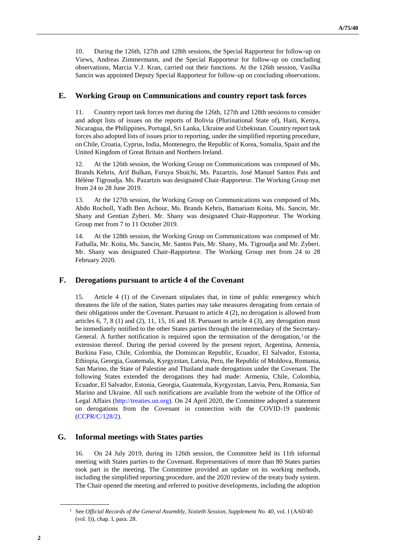10. During the 126th, 127th and 128th sessions, the Special Rapporteur for follow-up on Views, Andreas Zimmermann, and the Special Rapporteur for follow-up on concluding observations, Marcia V.J. Kran, carried out their functions. At the 126th session, Vasilka Sancin was appointed Deputy Special Rapporteur for follow-up on concluding observations.

#### **E. Working Group on Communications and country report task forces**

11. Country report task forces met during the 126th, 127th and 128th sessions to consider and adopt lists of issues on the reports of Bolivia (Plurinational State of), Haiti, Kenya, Nicaragua, the Philippines, Portugal, Sri Lanka, Ukraine and Uzbekistan. Country report task forces also adopted lists of issues prior to reporting, under the simplified reporting procedure, on Chile, Croatia, Cyprus, India, Montenegro, the Republic of Korea, Somalia, Spain and the United Kingdom of Great Britain and Northern Ireland.

12. At the 126th session, the Working Group on Communications was composed of Ms. Brands Kehris, Arif Bulkan, Furuya Shuichi, Ms. Pazartzis, José Manuel Santos Pais and Hélène Tigroudja. Ms. Pazartzis was designated Chair-Rapporteur. The Working Group met from 24 to 28 June 2019.

13. At the 127th session, the Working Group on Communications was composed of Ms. Abdo Rocholl, Yadh Ben Achour, Ms. Brands Kehris, Bamariam Koita, Ms. Sancin, Mr. Shany and Gentian Zyberi. Mr. Shany was designated Chair-Rapporteur. The Working Group met from 7 to 11 October 2019.

14. At the 128th session, the Working Group on Communications was composed of Mr. Fathalla, Mr. Koita, Ms. Sancin, Mr. Santos Pais, Mr. Shany, Ms. Tigroudja and Mr. Zyberi. Mr. Shany was designated Chair-Rapporteur. The Working Group met from 24 to 28 February 2020.

#### **F. Derogations pursuant to article 4 of the Covenant**

15. Article 4 (1) of the Covenant stipulates that, in time of public emergency which threatens the life of the nation, States parties may take measures derogating from certain of their obligations under the Covenant. Pursuant to article 4 (2), no derogation is allowed from articles  $6, 7, 8$  (1) and  $(2), 11, 15, 16$  and 18. Pursuant to article 4  $(3)$ , any derogation must be immediately notified to the other States parties through the intermediary of the Secretary-General. A further notification is required upon the termination of the derogation,  $1$  or the extension thereof. During the period covered by the present report, Argentina, Armenia, Burkina Faso, Chile, Colombia, the Dominican Republic, Ecuador, El Salvador, Estonia, Ethiopia, Georgia, Guatemala, Kyrgyzstan, Latvia, Peru, the Republic of Moldova, Romania, San Marino, the State of Palestine and Thailand made derogations under the Covenant. The following States extended the derogations they had made: Armenia, Chile, Colombia, Ecuador, El Salvador, Estonia, Georgia, Guatemala, Kyrgyzstan, Latvia, Peru, Romania, San Marino and Ukraine. All such notifications are available from the website of the Office of Legal Affairs [\(http://treaties.un.org\)](http://treaties.un.org/). On 24 April 2020, the Committee adopted a statement on derogations from the Covenant in connection with the COVID-19 pandemic [\(CCPR/C/128/2\)](http://undocs.org/en/CCPR/C/128/2).

#### **G. Informal meetings with States parties**

16. On 24 July 2019, during its 126th session, the Committee held its 11th informal meeting with States parties to the Covenant. Representatives of more than 80 States parties took part in the meeting. The Committee provided an update on its working methods, including the simplified reporting procedure, and the 2020 review of the treaty body system. The Chair opened the meeting and referred to positive developments, including the adoption

<sup>1</sup> See *Official Records of the General Assembly, Sixtieth Session, Supplement No. 40*, vol. I [\(A/60/40](https://undocs.org/en/A/60/40%20(vol.%20I))  [\(vol. I\)\)](https://undocs.org/en/A/60/40%20(vol.%20I)), chap. I, para. 28.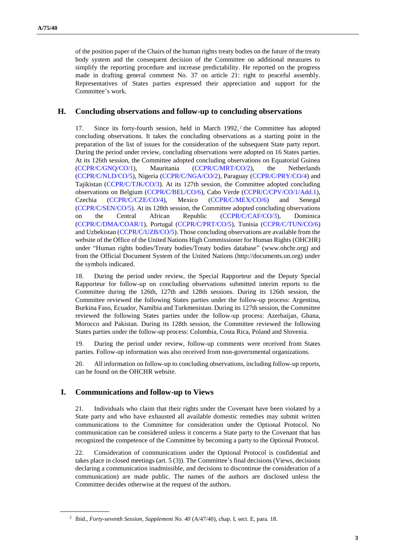of the position paper of the Chairs of the human rights treaty bodies on the future of the treaty body system and the consequent decision of the Committee on additional measures to simplify the reporting procedure and increase predictability. He reported on the progress made in drafting general comment No. 37 on article 21: right to peaceful assembly. Representatives of States parties expressed their appreciation and support for the Committee's work.

## **H. Concluding observations and follow-up to concluding observations**

17. Since its forty-fourth session, held in March 1992,<sup>2</sup> the Committee has adopted concluding observations. It takes the concluding observations as a starting point in the preparation of the list of issues for the consideration of the subsequent State party report. During the period under review, concluding observations were adopted on 16 States parties. At its 126th session, the Committee adopted concluding observations on Equatorial Guinea [\(CCPR/C/GNQ/CO/1\)](http://undocs.org/en/CCPR/C/GNQ/CO/1), Mauritania [\(CCPR/C/MRT/CO/2\)](http://undocs.org/en/CCPR/C/MRT/CO/2), the Netherlands [\(CCPR/C/NLD/CO/5\)](http://undocs.org/en/CCPR/C/NLD/CO/5), Nigeria [\(CCPR/C/NGA/CO/2\)](http://undocs.org/en/CCPR/C/NGA/CO/2), Paraguay [\(CCPR/C/PRY/CO/4\)](http://undocs.org/en/CCPR/C/PRY/CO/4) and Tajikistan [\(CCPR/C/TJK/CO/3\)](http://undocs.org/en/CCPR/C/TJK/CO/3). At its 127th session, the Committee adopted concluding observations on Belgium [\(CCPR/C/BEL/CO/6\)](http://undocs.org/en/CCPR/C/BEL/CO/6), Cabo Verde [\(CCPR/C/CPV/CO/1/Add.1\)](http://undocs.org/en/CCPR/C/CPV/CO/1/Add.1), Czechia [\(CCPR/C/CZE/CO/4\)](http://undocs.org/en/CCPR/C/CZE/CO/4), Mexico [\(CCPR/C/MEX/CO/6\)](http://undocs.org/en/CCPR/C/MEX/CO/6) and Senegal [\(CCPR/C/SEN/CO/5\)](http://undocs.org/en/CCPR/C/SEN/CO/5). At its 128th session, the Committee adopted concluding observations on the Central African Republic [\(CCPR/C/CAF/CO/3\)](http://undocs.org/en/CCPR/C/CAF/CO/3), Dominica [\(CCPR/C/DMA/COAR/1\)](http://undocs.org/en/CCPR/C/DMA/COAR/1), Portugal [\(CCPR/C/PRT/CO/5\)](http://undocs.org/en/CCPR/C/PRT/CO/5), Tunisia [\(CCPR/C/TUN/CO/6\)](http://undocs.org/en/CCPR/C/TUN/CO/6) and Uzbekistan [\(CCPR/C/UZB/CO/5\)](http://undocs.org/en/CCPR/C/UZB/CO/5). Those concluding observations are available from the website of the Office of the United Nations High Commissioner for Human Rights (OHCHR) under "Human rights bodies/Treaty bodies/Treaty bodies database" (www.ohchr.org) and from the Official Document System of the United Nations (http://documents.un.org) under the symbols indicated.

18. During the period under review, the Special Rapporteur and the Deputy Special Rapporteur for follow-up on concluding observations submitted interim reports to the Committee during the 126th, 127th and 128th sessions. During its 126th session, the Committee reviewed the following States parties under the follow-up process: Argentina, Burkina Faso, Ecuador, Namibia and Turkmenistan. During its 127th session, the Committee reviewed the following States parties under the follow-up process: Azerbaijan, Ghana, Morocco and Pakistan. During its 128th session, the Committee reviewed the following States parties under the follow-up process: Colombia, Costa Rica, Poland and Slovenia.

19. During the period under review, follow-up comments were received from States parties. Follow-up information was also received from non-governmental organizations.

20. All information on follow-up to concluding observations, including follow-up reports, can be found on the OHCHR website.

#### **I. Communications and follow-up to Views**

21. Individuals who claim that their rights under the Covenant have been violated by a State party and who have exhausted all available domestic remedies may submit written communications to the Committee for consideration under the Optional Protocol. No communication can be considered unless it concerns a State party to the Covenant that has recognized the competence of the Committee by becoming a party to the Optional Protocol.

22. Consideration of communications under the Optional Protocol is confidential and takes place in closed meetings (art. 5 (3)). The Committee's final decisions (Views, decisions declaring a communication inadmissible, and decisions to discontinue the consideration of a communication) are made public. The names of the authors are disclosed unless the Committee decides otherwise at the request of the authors.

<sup>2</sup> Ibid., *Forty-seventh Session, Supplement No. 40* [\(A/47/40\)](https://documents-dds-ny.un.org/doc/UNDOC/GEN/N93/146/47/pdf/N9314647.pdf?OpenElement), chap. I, sect. E, para. 18.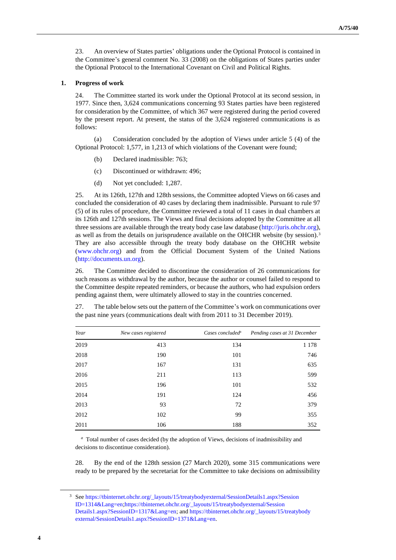23. An overview of States parties' obligations under the Optional Protocol is contained in the Committee's general comment No. 33 (2008) on the obligations of States parties under the Optional Protocol to the International Covenant on Civil and Political Rights.

#### **1. Progress of work**

24. The Committee started its work under the Optional Protocol at its second session, in 1977. Since then, 3,624 communications concerning 93 States parties have been registered for consideration by the Committee, of which 367 were registered during the period covered by the present report. At present, the status of the 3,624 registered communications is as follows:

(a) Consideration concluded by the adoption of Views under article 5 (4) of the Optional Protocol: 1,577, in 1,213 of which violations of the Covenant were found;

- (b) Declared inadmissible: 763;
- (c) Discontinued or withdrawn: 496;
- (d) Not yet concluded: 1,287.

25. At its 126th, 127th and 128th sessions, the Committee adopted Views on 66 cases and concluded the consideration of 40 cases by declaring them inadmissible. Pursuant to rule 97 (5) of its rules of procedure, the Committee reviewed a total of 11 cases in dual chambers at its 126th and 127th sessions. The Views and final decisions adopted by the Committee at all three sessions are available through the treaty body case law database [\(http://juris.ohchr.org\)](http://juris.ohchr.org/), as well as from the details on jurisprudence available on the OHCHR website (by session).<sup>3</sup> They are also accessible through the treaty body database on the OHCHR website [\(www.ohchr.org\)](http://www.ohchr.org/) and from the Official Document System of the United Nations [\(http://documents.un.org\)](http://documents.un.org/).

26. The Committee decided to discontinue the consideration of 26 communications for such reasons as withdrawal by the author, because the author or counsel failed to respond to the Committee despite repeated reminders, or because the authors, who had expulsion orders pending against them, were ultimately allowed to stay in the countries concerned.

| Year | New cases registered | Cases concluded <sup>a</sup> | Pending cases at 31 December |
|------|----------------------|------------------------------|------------------------------|
| 2019 | 413                  | 134                          | 1 1 7 8                      |
| 2018 | 190                  | 101                          | 746                          |
| 2017 | 167                  | 131                          | 635                          |
| 2016 | 211                  | 113                          | 599                          |
| 2015 | 196                  | 101                          | 532                          |
| 2014 | 191                  | 124                          | 456                          |
| 2013 | 93                   | 72                           | 379                          |
| 2012 | 102                  | 99                           | 355                          |
| 2011 | 106                  | 188                          | 352                          |

27. The table below sets out the pattern of the Committee's work on communications over the past nine years (communications dealt with from 2011 to 31 December 2019).

<sup>a</sup> Total number of cases decided (by the adoption of Views, decisions of inadmissibility and decisions to discontinue consideration).

28. By the end of the 128th session (27 March 2020), some 315 communications were ready to be prepared by the secretariat for the Committee to take decisions on admissibility

<sup>3</sup> Se[e https://tbinternet.ohchr.org/\\_layouts/15/treatybodyexternal/SessionDetails1.aspx?Session](https://tbinternet.ohchr.org/_layouts/15/treatybodyexternal/SessionDetails1.aspx?Session%20ID=1314&Lang=en)  [ID=1314&Lang=en](https://tbinternet.ohchr.org/_layouts/15/treatybodyexternal/SessionDetails1.aspx?Session%20ID=1314&Lang=en)[;https://tbinternet.ohchr.org/\\_layouts/15/treatybodyexternal/Session](https://tbinternet.ohchr.org/_layouts/15/treatybodyexternal/Session%20Details1.aspx?SessionID=1317&Lang=en)  [Details1.aspx?SessionID=1317&Lang=en;](https://tbinternet.ohchr.org/_layouts/15/treatybodyexternal/Session%20Details1.aspx?SessionID=1317&Lang=en) an[d https://tbinternet.ohchr.org/\\_layouts/15/treatybody](https://tbinternet.ohchr.org/_layouts/15/treatybody%20external/SessionDetails1.aspx?Session)  [external/SessionDetails1.aspx?SessionI](https://tbinternet.ohchr.org/_layouts/15/treatybody%20external/SessionDetails1.aspx?Session)D=1371&Lang=en.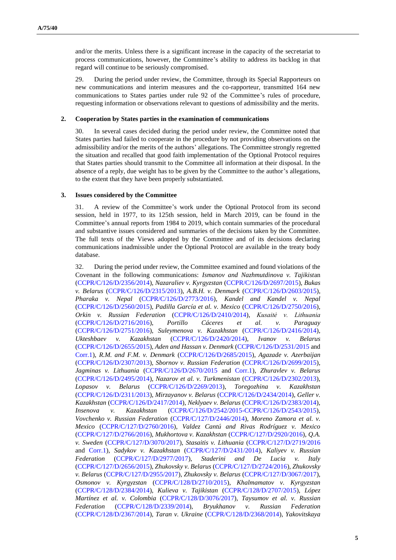and/or the merits. Unless there is a significant increase in the capacity of the secretariat to process communications, however, the Committee's ability to address its backlog in that regard will continue to be seriously compromised.

29. During the period under review, the Committee, through its Special Rapporteurs on new communications and interim measures and the co-rapporteur, transmitted 164 new communications to States parties under rule 92 of the Committee's rules of procedure, requesting information or observations relevant to questions of admissibility and the merits.

#### **2. Cooperation by States parties in the examination of communications**

30. In several cases decided during the period under review, the Committee noted that States parties had failed to cooperate in the procedure by not providing observations on the admissibility and/or the merits of the authors' allegations. The Committee strongly regretted the situation and recalled that good faith implementation of the Optional Protocol requires that States parties should transmit to the Committee all information at their disposal. In the absence of a reply, due weight has to be given by the Committee to the author's allegations, to the extent that they have been properly substantiated.

#### **3. Issues considered by the Committee**

31. A review of the Committee's work under the Optional Protocol from its second session, held in 1977, to its 125th session, held in March 2019, can be found in the Committee's annual reports from 1984 to 2019, which contain summaries of the procedural and substantive issues considered and summaries of the decisions taken by the Committee. The full texts of the Views adopted by the Committee and of its decisions declaring communications inadmissible under the Optional Protocol are available in the treaty body database.

32. During the period under review, the Committee examined and found violations of the Covenant in the following communications: *Ismanov and Nazhmutdinova v. Tajikist*an [\(CCPR/C/126/D/2356/2014\)](http://undocs.org/en/CCPR/C/126/D/2356/2014), *Nazaraliev v. Kyrgyzstan* [\(CCPR/C/126/D/2697/2015\)](http://undocs.org/en/CCPR/C/126/D/2697/2015), *Bukas v. Belarus* [\(CCPR/C/126/D/2315/2013\)](http://undocs.org/en/CCPR/C/126/D/2315/2013), *A.B.H. v. Denmark* [\(CCPR/C/126/D/2603/2015\)](http://undocs.org/en/CCPR/C/126/D/2603/2015), *Pharaka v. Nepal* [\(CCPR/C/126/D/2773/2016\)](http://undocs.org/en/CCPR/C/126/D/2773/2016), *Kandel and Kandel v. Nepal* [\(CCPR/C/126/D/2560/2015\)](http://undocs.org/en/CCPR/C/126/D/2560/2015), *Padilla García et al. v. Mexico* [\(CCPR/C/126/D/2750/2016\)](http://undocs.org/en/CCPR/C/126/D/2750/2016), *Orkin v. Russian Federation* [\(CCPR/C/126/D/2410/2014\)](http://undocs.org/en/CCPR/C/126/D/2410/2014), *Kusaitė v. Lithuania* [\(CCPR/C/126/D/2716/2016\)](http://undocs.org/en/CCPR/C/126/D/2716/2016), *Portillo Cáceres et al. v. Paraguay* [\(CCPR/C/126/D/2751/2016\)](http://undocs.org/en/CCPR/C/126/D/2751/2016), *Suleymenova v. Kazakhstan* [\(CCPR/C/126/D/2416/2014\)](http://undocs.org/en/CCPR/C/126/D/2416/2014), *Ukteshbaev v. Kazakhstan* [\(CCPR/C/126/D/2420/2014\)](http://undocs.org/en/CCPR/C/126/D/2420/2014), *Ivanov v. Belarus* [\(CCPR/C/126/D/2655/2015\)](http://undocs.org/en/CCPR/C/126/D/2655/2015), *Aden and Hassan v. Denmark* [\(CCPR/C/126/D/2531/2015](http://undocs.org/en/CCPR/C/126/D/2531/2015) and [Corr.1\)](http://undocs.org/en/CCPR/C/126/D/2531/2015/Corr.1), *R.M. and F.M. v. Denmark* [\(CCPR/C/126/D/2685/2015\)](http://undocs.org/en/CCPR/C/126/D/2685/2015), *Agazade v. Azerbaijan* [\(CCPR/C/126/D/2307/2013\)](http://undocs.org/en/CCPR/C/126/D/2307/2013), *Sbornov v. Russian Federation* [\(CCPR/C/126/D/2699/2015\)](http://undocs.org/en/CCPR/C/126/D/2699/2015), *Jagminas v. Lithuania* [\(CCPR/C/126/D/2670/2015](http://undocs.org/en/CCPR/C/126/D/2670/2015) and [Corr.1\)](http://undocs.org/en/CCPR/C/126/D/2670/2015/Corr.1), *Zhuravlev v. Belarus* [\(CCPR/C/126/D/2495/2014\)](http://undocs.org/en/CCPR/C/126/D/2495/2014), *Nazarov et al. v. Turkmenistan* [\(CCPR/C/126/D/2302/2013\)](http://undocs.org/en/CCPR/C/126/D/2302/2013), *Lopasov v. Belarus* [\(CCPR/C/126/D/2269/2013\)](http://undocs.org/en/CCPR/C/126/D/2269/2013), *Toregozhina v. Kazakhstan* [\(CCPR/C/126/D/2311/2013\)](http://undocs.org/en/CCPR/C/126/D/2311/2013), *Mirzayanov v. Belarus* [\(CCPR/C/126/D/2434/2014\)](http://undocs.org/en/CCPR/C/126/D/2434/2014), *Geller v. Kazakhstan* [\(CCPR/C/126/D/2417/2014\)](http://undocs.org/en/CCPR/C/126/D/2417/2014), *Neklyaev v. Belarus* [\(CCPR/C/126/D/2383/2014\)](http://undocs.org/en/CCPR/C/126/D/2383/2014), *Insenova v. Kazakhstan* [\(CCPR/C/126/D/2542/2015-CCPR/C/126/D/2543/2015\)](http://undocs.org/en/CCPR/C/126/D/2542/2015), *Vovchenko v. Russian Federation* [\(CCPR/C/127/D/2446/2014\)](http://undocs.org/en/CCPR/C/127/D/2446/2014), *Moreno Zamora et al. v. Mexico* [\(CCPR/C/127/D/2760/2016\)](http://undocs.org/en/CCPR/C/127/D/2760/2016), *Valdez Cantú and Rivas Rodríguez v. Mexico* [\(CCPR/C/127/D/2766/2016\)](http://undocs.org/en/CCPR/C/127/D/2766/2016), *Mukhortova v. Kazakhstan* [\(CCPR/C/127/D/2920/2016\)](http://undocs.org/en/CCPR/C/127/D/2920/2016), *Q.A. v. Sweden* [\(CCPR/C/127/D/3070/2017\)](http://undocs.org/en/CCPR/C/127/D/3070/2017), *Stasaitis v. Lithuania* [\(CCPR/C/127/D/2719/2016](http://undocs.org/en/CCPR/C/127/D/2719/2016) and [Corr.1\)](http://undocs.org/en/CCPR/C/127/D/2719/2016/Corr.1), *Sadykov v. Kazakhstan* [\(CCPR/C/127/D/2431/2014\)](http://undocs.org/en/CCPR/C/127/D/2431/2014), *Kaliyev v. Russian Federation* [\(CCPR/C/127/D/2977/2017\)](http://undocs.org/en/CCPR/C/127/D/2977/2017), *Staderini and De Lucia v. Italy* [\(CCPR/C/127/D/2656/2015\)](http://undocs.org/en/CCPR/C/127/D/2656/2015), *Zhukovsky v. Belarus* [\(CCPR/C/127/D/2724/2016\)](http://undocs.org/en/CCPR/C/127/D/2724/2016), *Zhukovsky v. Belarus* [\(CCPR/C/127/D/2955/2017\)](http://undocs.org/en/CCPR/C/127/D/2955/2017), *Zhukovsky v. Belarus* [\(CCPR/C/127/D/3067/2017\)](http://undocs.org/en/CCPR/C/127/D/3067/2017), *Osmonov v. Kyrgyzstan* [\(CCPR/C/128/D/2710/2015\)](http://undocs.org/en/CCPR/C/128/D/2710/2015), *Khalmamatov v. Kyrgyzstan* [\(CCPR/C/128/D/2384/2014\)](http://undocs.org/en/CCPR/C/128/D/2384/2014), *Kulieva v. Tajikistan* [\(CCPR/C/128/D/2707/2015\)](http://undocs.org/en/CCPR/C/128/D/2707/2015), *López Martínez et al. v. Colombia* [\(CCPR/C/128/D/3076/2017\)](http://undocs.org/en/CCPR/C/128/D/3076/2017), *Taysumov et al. v. Russian Federation* [\(CCPR/C/128/D/2339/2014\)](http://undocs.org/en/CCPR/C/128/D/2339/2014), *Bryukhanov v. Russian Federation* [\(CCPR/C/128/D/2367/2014\)](http://undocs.org/en/CCPR/C/128/D/2367/2014), *Taran v. Ukraine* [\(CCPR/C/128/D/2368/2014\)](http://undocs.org/en/CCPR/C/128/D/2368/2014), *Yakovitskaya*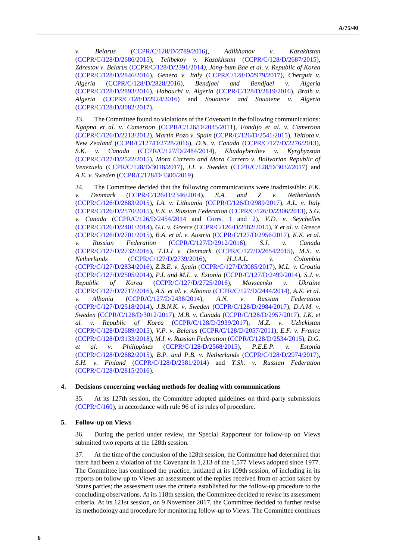*v. Belarus* [\(CCPR/C/128/D/2789/2016\)](http://undocs.org/en/CCPR/C/128/D/2789/2016), *Adilkhanov v. Kazakhstan* [\(CCPR/C/128/D/2686/2015\)](http://undocs.org/en/CCPR/C/128/D/2686/2015), *Telibekov v. Kazakhstan* [\(CCPR/C/128/D/2687/2015\)](http://undocs.org/en/CCPR/C/128/D/2687/2015), *Zdrestov v. Belarus* [\(CCPR/C/128/D/2391/2014](http://undocs.org/en/CCPR/C/128/D/2391/2014)*), Jong-bum Bae et al. v. Republic of Korea* [\(CCPR/C/128/D/2846/2016\)](http://undocs.org/en/CCPR/C/128/D/2846/2016), *Genero v. Italy* [\(CCPR/C/128/D/2979/2017\)](http://undocs.org/en/CCPR/C/128/D/2979/2017), *Cherguit v. Algeria* [\(CCPR/C/128/D/2828/2016\)](http://undocs.org/en/CCPR/C/128/D/2828/2016), *Bendjael and Bendjael v. Algeria* [\(CCPR/C/128/D/2893/2016\)](http://undocs.org/en/CCPR/C/128/D/2893/2016), *Habouchi v. Algeria* [\(CCPR/C/128/D/2819/2016\)](http://undocs.org/en/CCPR/C/128/D/2819/2016), *Braih v. Algeria* [\(CCPR/C/128/D/2924/2016\)](http://undocs.org/en/CCPR/C/128/D/2924/2016) and *Souaiene and Souaiene v. Algeria* [\(CCPR/C/128/D/3082/2017\)](http://undocs.org/en/CCPR/C/128/D/3082/2017).

33. The Committee found no violations of the Covenant in the following communications: *Ngapna et al. v. Cameroon* [\(CCPR/C/126/D/2035/2011\)](http://undocs.org/en/CCPR/C/126/D/2035/2011), *Fondijo et al. v. Cameroon* [\(CCPR/C/126/D/2213/2012\)](http://undocs.org/en/CCPR/C/126/D/2213/2012), *Martín Pozo v. Spain* [\(CCPR/C/126/D/2541/2015\)](http://undocs.org/en/CCPR/C/126/D/2541/2015), *Teitiota v. New Zealand* [\(CCPR/C/127/D/2728/2016\)](http://undocs.org/en/CCPR/C/127/D/2728/2016), *D.N. v. Canada* [\(CCPR/C/127/D/2276/2013\)](http://undocs.org/en/CCPR/C/127/D/2276/2013), *S.K. v. Canada* [\(CCPR/C/127/D/2484/2014\)](http://undocs.org/en/CCPR/C/127/D/2484/2014), *Khudayberdiev v. Kyrghyzstan* [\(CCPR/C/127/D/2522/2015\)](http://undocs.org/en/CCPR/C/127/D/2522/2015), *Mora Carrero and Mora Carrero v. Bolivarian Republic of Venezuela* [\(CCPR/C/128/D/3018/2017\)](http://undocs.org/en/CCPR/C/128/D/3018/2017), *J.I. v. Sweden* [\(CCPR/C/128/D/3032/2017\)](http://undocs.org/en/CCPR/C/128/D/3032/2017) and *A.E. v. Sweden* [\(CCPR/C/128/D/3300/2019\)](http://undocs.org/en/CCPR/C/128/D/3300/2019).

34. The Committee decided that the following communications were inadmissible: *E.K. v. Denmark* [\(CCPR/C/126/D/2346/2014\)](http://undocs.org/en/CCPR/C/126/D/2346/2014), *S.A. and Z v. Netherlands* [\(CCPR/C/126/D/2683/2015\)](http://undocs.org/en/CCPR/C/126/D/2683/2015), *I.A. v. Lithuania* [\(CCPR/C/126/D/2989/2017\)](http://undocs.org/en/CCPR/C/126/D/2989/2017), *A.L. v. Italy* [\(CCPR/C/126/D/2570/2015\)](http://undocs.org/en/CCPR/C/126/D/2570/2015), *V.K. v. Russian Federation* [\(CCPR/C/126/D/2306/2013\)](http://undocs.org/en/CCPR/C/126/D/2306/2013), *S.G. v. Canada* [\(CCPR/C/126/D/2454/2014](http://undocs.org/en/CCPR/C/126/D/2454/2014) and [Corrs. 1](http://undocs.org/en/CCPR/C/126/D/2454/2014/Corr.1) and [2\)](http://undocs.org/en/CCPR/C/126/D/2454/2014/Corr.2), *V.D. v. Seychelles* [\(CCPR/C/126/D/2401/2014\)](http://undocs.org/en/CCPR/C/126/D/2401/2014), *G.I. v. Greece* [\(CCPR/C/126/D/2582/2015\)](http://undocs.org/en/CCPR/C/126/D/2582/2015), *X et al. v. Greece* [\(CCPR/C/126/D/2701/2015\)](http://undocs.org/en/CCPR/C/126/D/2701/2015), *B.A. et al. v. Austria* [\(CCPR/C/127/D/2956/2017\)](http://undocs.org/en/CCPR/C/127/D/2956/2017), *K.K. et al. v. Russian Federation* [\(CCPR/C/127/D/2912/2016\)](http://undocs.org/en/CCPR/C/127/D/2912/2016), *S.J. v. Canada* [\(CCPR/C/127/D/2732/2016\)](http://undocs.org/en/CCPR/C/127/D/2732/2016), *T.D.J v. Denmark* [\(CCPR/C/127/D/2654/2015\)](http://undocs.org/en/CCPR/C/127/D/2654/2015), *M.S. v. Netherlands* [\(CCPR/C/127/D/2739/2016\)](http://undocs.org/en/CCPR/C/127/D/2739/2016), *H.J.A.L. v. Colombia* [\(CCPR/C/127/D/2834/2016\)](http://undocs.org/en/CCPR/C/127/D/2834/2016), *Z.B.E. v. Spain* [\(CCPR/C/127/D/3085/2017\)](http://undocs.org/en/CCPR/C/127/D/3085/2017), *M.L. v. Croatia* [\(CCPR/C/127/D/2505/2014\)](http://undocs.org/en/CCPR/C/127/D/2505/2014), *P.L and M.L. v. Estonia* [\(CCPR/C/127/D/2499/2014\)](http://undocs.org/en/CCPR/C/127/D/2499/2014), *S.J. v. Republic of Korea* [\(CCPR/C/127/D/2725/2016\)](http://undocs.org/en/CCPR/C/127/D/2725/2016), *Moyseenko v. Ukraine* [\(CCPR/C/127/D/2717/2016\)](http://undocs.org/en/CCPR/C/127/D/2717/2016), *A.S. et al. v. Albania* [\(CCPR/C/127/D/2444/2014\)](http://undocs.org/en/CCPR/C/127/D/2444/2014), *A.K. et al. v. Albania* [\(CCPR/C/127/D/2438/2014\)](http://undocs.org/en/CCPR/C/127/D/2438/2014), *A.N. v. Russian Federation* [\(CCPR/C/127/D/2518/2014\)](http://undocs.org/en/CCPR/C/127/D/2518/2014), *J.B.N.K. v. Sweden* [\(CCPR/C/128/D/2984/2017\)](http://undocs.org/en/CCPR/C/128/D/2984/2017), *D.A.M. v. Sweden* [\(CCPR/C/128/D/3012/2017\)](http://undocs.org/en/CCPR/C/128/D/3012/2017), *M.B. v. Canada* [\(CCPR/C/128/D/2957/2017\)](http://undocs.org/en/CCPR/C/128/D/2957/2017), *J.K. et al. v. Republic of Korea* [\(CCPR/C/128/D/2939/2017\)](http://undocs.org/en/CCPR/C/128/D/2939/2017), *M.Z. v. Uzbekistan* [\(CCPR/C/128/D/2689/2015\)](http://undocs.org/en/CCPR/C/128/D/2689/2015), *V.P. v. Belarus* [\(CCPR/C/128/D/2057/2011\)](http://undocs.org/en/CCPR/C/128/D/2057/2011), *E.F. v. France* [\(CCPR/C/128/D/3133/2018\)](http://undocs.org/en/CCPR/C/128/D/3133/2018), *M.I. v. Russian Federation* [\(CCPR/C/128/D/2534/2015\)](http://undocs.org/en/CCPR/C/128/D/2534/2015), *D.G. et al. v. Philippines* [\(CCPR/C/128/D/2568/2015\)](http://undocs.org/en/CCPR/C/128/D/2568/2015), *P.E.E.P. v. Estonia* [\(CCPR/C/128/D/2682/2015\)](http://undocs.org/en/CCPR/C/128/D/2682/2015), *B.P. and P.B. v. Netherlands* [\(CCPR/C/128/D/2974/2017\)](http://undocs.org/en/CCPR/C/128/D/2974/2017), *S.H. v. Finland* [\(CCPR/C/128/D/2381/2014\)](http://undocs.org/en/CCPR/C/128/D/2381/2014) and *Y.Sh. v. Russian Federation* [\(CCPR/C/128/D/2815/2016\)](http://undocs.org/en/CCPR/C/128/D/2815/2016).

#### **4. Decisions concerning working methods for dealing with communications**

35. At its 127th session, the Committee adopted guidelines on third-party submissions [\(CCPR/C/160\)](http://undocs.org/en/CCPR/C/160), in accordance with rule 96 of its rules of procedure.

#### **5. Follow-up on Views**

36. During the period under review, the Special Rapporteur for follow-up on Views submitted two reports at the 128th session.

37. At the time of the conclusion of the 128th session, the Committee had determined that there had been a violation of the Covenant in 1,213 of the 1,577 Views adopted since 1977. The Committee has continued the practice, initiated at its 109th session, of including in its reports on follow-up to Views an assessment of the replies received from or action taken by States parties; the assessment uses the criteria established for the follow-up procedure to the concluding observations. At its 118th session, the Committee decided to revise its assessment criteria. At its 121st session, on 9 November 2017, the Committee decided to further revise its methodology and procedure for monitoring follow-up to Views. The Committee continues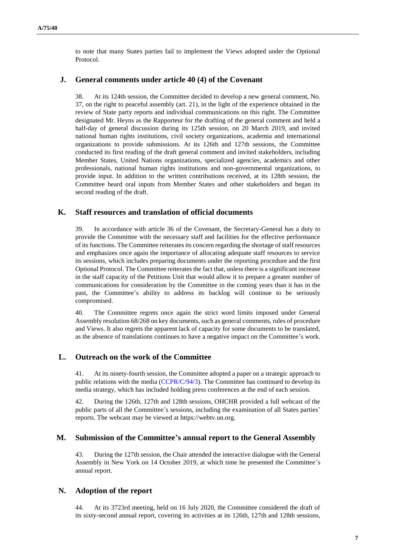to note that many States parties fail to implement the Views adopted under the Optional Protocol.

#### **J. General comments under article 40 (4) of the Covenant**

38. At its 124th session, the Committee decided to develop a new general comment, No. 37, on the right to peaceful assembly (art. 21), in the light of the experience obtained in the review of State party reports and individual communications on this right. The Committee designated Mr. Heyns as the Rapporteur for the drafting of the general comment and held a half-day of general discussion during its 125th session, on 20 March 2019, and invited national human rights institutions, civil society organizations, academia and international organizations to provide submissions. At its 126th and 127th sessions, the Committee conducted its first reading of the draft general comment and invited stakeholders, including Member States, United Nations organizations, specialized agencies, academics and other professionals, national human rights institutions and non-governmental organizations, to provide input. In addition to the written contributions received, at its 128th session, the Committee heard oral inputs from Member States and other stakeholders and began its second reading of the draft.

#### **K. Staff resources and translation of official documents**

39. In accordance with article 36 of the Covenant, the Secretary-General has a duty to provide the Committee with the necessary staff and facilities for the effective performance of its functions. The Committee reiterates its concern regarding the shortage of staff resources and emphasizes once again the importance of allocating adequate staff resources to service its sessions, which includes preparing documents under the reporting procedure and the first Optional Protocol. The Committee reiterates the fact that, unless there is a significant increase in the staff capacity of the Petitions Unit that would allow it to prepare a greater number of communications for consideration by the Committee in the coming years than it has in the past, the Committee's ability to address its backlog will continue to be seriously compromised.

40. The Committee regrets once again the strict word limits imposed under General Assembly resolution 68/268 on key documents, such as general comments, rules of procedure and Views. It also regrets the apparent lack of capacity for some documents to be translated, as the absence of translations continues to have a negative impact on the Committee's work.

#### **L. Outreach on the work of the Committee**

41. At its ninety-fourth session, the Committee adopted a paper on a strategic approach to public relations with the media [\(CCPR/C/94/3\)](http://undocs.org/en/CCPR/C/94/3). The Committee has continued to develop its media strategy, which has included holding press conferences at the end of each session.

42. During the 126th, 127th and 128th sessions, OHCHR provided a full webcast of the public parts of all the Committee's sessions, including the examination of all States parties' reports. The webcast may be viewed at https://webtv.un.org.

#### **M. Submission of the Committee's annual report to the General Assembly**

43. During the 127th session, the Chair attended the interactive dialogue with the General Assembly in New York on 14 October 2019, at which time he presented the Committee's annual report.

#### **N. Adoption of the report**

44. At its 3723rd meeting, held on 16 July 2020, the Committee considered the draft of its sixty-second annual report, covering its activities at its 126th, 127th and 128th sessions,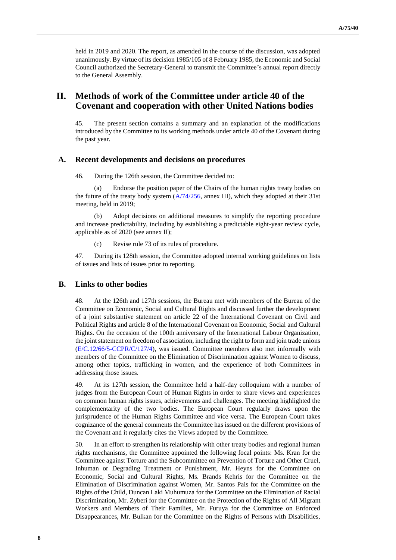held in 2019 and 2020. The report, as amended in the course of the discussion, was adopted unanimously. By virtue of its decision 1985/105 of 8 February 1985, the Economic and Social Council authorized the Secretary-General to transmit the Committee's annual report directly to the General Assembly.

## **II. Methods of work of the Committee under article 40 of the Covenant and cooperation with other United Nations bodies**

45. The present section contains a summary and an explanation of the modifications introduced by the Committee to its working methods under article 40 of the Covenant during the past year.

#### **A. Recent developments and decisions on procedures**

46. During the 126th session, the Committee decided to:

(a) Endorse the position paper of the Chairs of the human rights treaty bodies on the future of the treaty body system  $(A/74/256,$  annex III), which they adopted at their 31st meeting, held in 2019;

(b) Adopt decisions on additional measures to simplify the reporting procedure and increase predictability, including by establishing a predictable eight-year review cycle, applicable as of 2020 (see annex II);

(c) Revise rule 73 of its rules of procedure.

47. During its 128th session, the Committee adopted internal working guidelines on lists of issues and lists of issues prior to reporting.

#### **B. Links to other bodies**

48. At the 126th and 127th sessions, the Bureau met with members of the Bureau of the Committee on Economic, Social and Cultural Rights and discussed further the development of a joint substantive statement on article 22 of the International Covenant on Civil and Political Rights and article 8 of the International Covenant on Economic, Social and Cultural Rights. On the occasion of the 100th anniversary of the International Labour Organization, the joint statement on freedom of association, including the right to form and join trade unions [\(E/C.12/66/5-CCPR/C/127/4\)](http://undocs.org/en/E/C.12/66/5), was issued. Committee members also met informally with members of the Committee on the Elimination of Discrimination against Women to discuss, among other topics, trafficking in women, and the experience of both Committees in addressing those issues.

49. At its 127th session, the Committee held a half-day colloquium with a number of judges from the European Court of Human Rights in order to share views and experiences on common human rights issues, achievements and challenges. The meeting highlighted the complementarity of the two bodies. The European Court regularly draws upon the jurisprudence of the Human Rights Committee and vice versa. The European Court takes cognizance of the general comments the Committee has issued on the different provisions of the Covenant and it regularly cites the Views adopted by the Committee.

50. In an effort to strengthen its relationship with other treaty bodies and regional human rights mechanisms, the Committee appointed the following focal points: Ms. Kran for the Committee against Torture and the Subcommittee on Prevention of Torture and Other Cruel, Inhuman or Degrading Treatment or Punishment, Mr. Heyns for the Committee on Economic, Social and Cultural Rights, Ms. Brands Kehris for the Committee on the Elimination of Discrimination against Women, Mr. Santos Pais for the Committee on the Rights of the Child, Duncan Laki Muhumuza for the Committee on the Elimination of Racial Discrimination, Mr. Zyberi for the Committee on the Protection of the Rights of All Migrant Workers and Members of Their Families, Mr. Furuya for the Committee on Enforced Disappearances, Mr. Bulkan for the Committee on the Rights of Persons with Disabilities,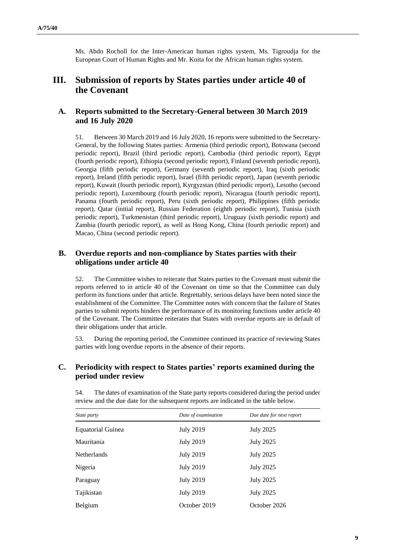Ms. Abdo Rocholl for the Inter-American human rights system, Ms. Tigroudja for the European Court of Human Rights and Mr. Koita for the African human rights system.

## **III. Submission of reports by States parties under article 40 of the Covenant**

## **A. Reports submitted to the Secretary-General between 30 March 2019 and 16 July 2020**

51. Between 30 March 2019 and 16 July 2020, 16 reports were submitted to the Secretary-General, by the following States parties: Armenia (third periodic report), Botswana (second periodic report), Brazil (third periodic report), Cambodia (third periodic report), Egypt (fourth periodic report), Ethiopia (second periodic report), Finland (seventh periodic report), Georgia (fifth periodic report), Germany (seventh periodic report), Iraq (sixth periodic report), Ireland (fifth periodic report), Israel (fifth periodic report), Japan (seventh periodic report), Kuwait (fourth periodic report), Kyrgyzstan (third periodic report), Lesotho (second periodic report), Luxembourg (fourth periodic report), Nicaragua (fourth periodic report), Panama (fourth periodic report), Peru (sixth periodic report), Philippines (fifth periodic report), Qatar (initial report), Russian Federation (eighth periodic report), Tunisia (sixth periodic report), Turkmenistan (third periodic report), Uruguay (sixth periodic report) and Zambia (fourth periodic report), as well as Hong Kong, China (fourth periodic report) and Macao, China (second periodic report).

## **B. Overdue reports and non-compliance by States parties with their obligations under article 40**

52. The Committee wishes to reiterate that States parties to the Covenant must submit the reports referred to in article 40 of the Covenant on time so that the Committee can duly perform its functions under that article. Regrettably, serious delays have been noted since the establishment of the Committee. The Committee notes with concern that the failure of States parties to submit reports hinders the performance of its monitoring functions under article 40 of the Covenant. The Committee reiterates that States with overdue reports are in default of their obligations under that article.

53. During the reporting period, the Committee continued its practice of reviewing States parties with long overdue reports in the absence of their reports.

## **C. Periodicity with respect to States parties' reports examined during the period under review**

| State party              | Date of examination | Due date for next report |
|--------------------------|---------------------|--------------------------|
| <b>Equatorial Guinea</b> | <b>July 2019</b>    | <b>July 2025</b>         |
| Mauritania               | <b>July 2019</b>    | <b>July 2025</b>         |
| <b>Netherlands</b>       | <b>July 2019</b>    | <b>July 2025</b>         |
| Nigeria                  | <b>July 2019</b>    | <b>July 2025</b>         |
| Paraguay                 | <b>July 2019</b>    | <b>July 2025</b>         |
| Tajikistan               | <b>July 2019</b>    | <b>July 2025</b>         |
| Belgium                  | October 2019        | October 2026             |

54. The dates of examination of the State party reports considered during the period under review and the due date for the subsequent reports are indicated in the table below.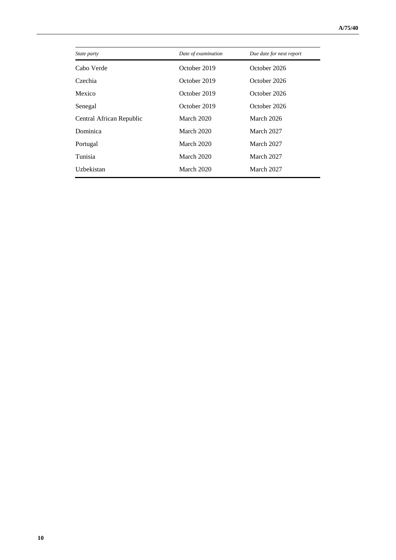| State party              | Date of examination | Due date for next report |
|--------------------------|---------------------|--------------------------|
| Cabo Verde               | October 2019        | October 2026             |
| Czechia                  | October 2019        | October 2026             |
| Mexico                   | October 2019        | October 2026             |
| Senegal                  | October 2019        | October 2026             |
| Central African Republic | March 2020          | March 2026               |
| Dominica                 | March 2020          | March 2027               |
| Portugal                 | March 2020          | March 2027               |
| Tunisia                  | March 2020          | March 2027               |
| Uzbekistan               | March 2020          | March 2027               |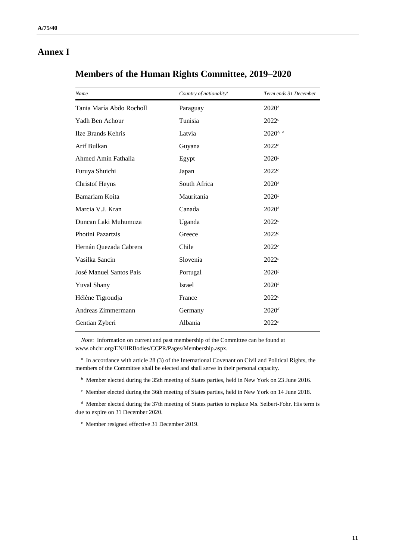## **Annex I**

| Name                     | Country of nationality <sup>a</sup> | Term ends 31 December |
|--------------------------|-------------------------------------|-----------------------|
| Tania María Abdo Rocholl | Paraguay                            | $2020^b$              |
| Yadh Ben Achour          | Tunisia                             | 2022c                 |
| Ilze Brands Kehris       | Latvia                              | $2020^{b}$            |
| Arif Bulkan              | Guyana                              | 2022c                 |
| Ahmed Amin Fathalla      | Egypt                               | $2020^b$              |
| Furuya Shuichi           | Japan                               | 2022c                 |
| <b>Christof Heyns</b>    | South Africa                        | $2020^b$              |
| <b>Bamariam Koita</b>    | Mauritania                          | $2020^b$              |
| Marcia V.J. Kran         | Canada                              | $2020^b$              |
| Duncan Laki Muhumuza     | Uganda                              | 2022c                 |
| Photini Pazartzis        | Greece                              | 2022c                 |
| Hernán Quezada Cabrera   | Chile                               | 2022c                 |
| Vasilka Sancin           | Slovenia                            | 2022c                 |
| José Manuel Santos Pais  | Portugal                            | $2020^b$              |
| <b>Yuval Shany</b>       | Israel                              | $2020^b$              |
| Hélène Tigroudja         | France                              | 2022c                 |
| Andreas Zimmermann       | Germany                             | $2020^d$              |
| Gentian Zyberi           | Albania                             | 2022c                 |
|                          |                                     |                       |

## **Members of the Human Rights Committee, 2019–2020**

*Note*: Information on current and past membership of the Committee can be found at www.ohchr.org/EN/HRBodies[/CCPR/Pages/Membership.aspx.](http://undocs.org/en/CCPR/Pages/Membership.aspx)

*a* In accordance with article 28 (3) of the International Covenant on Civil and Political Rights, the members of the Committee shall be elected and shall serve in their personal capacity.

*b* Member elected during the 35th meeting of States parties, held in New York on 23 June 2016.

*c* Member elected during the 36th meeting of States parties, held in New York on 14 June 2018.

*d* Member elected during the 37th meeting of States parties to replace Ms. Seibert-Fohr. His term is due to expire on 31 December 2020.

*e* Member resigned effective 31 December 2019.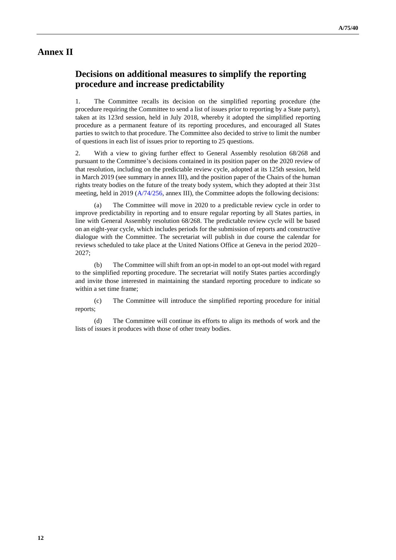## **Annex II**

## **Decisions on additional measures to simplify the reporting procedure and increase predictability**

1. The Committee recalls its decision on the simplified reporting procedure (the procedure requiring the Committee to send a list of issues prior to reporting by a State party), taken at its 123rd session, held in July 2018, whereby it adopted the simplified reporting procedure as a permanent feature of its reporting procedures, and encouraged all States parties to switch to that procedure. The Committee also decided to strive to limit the number of questions in each list of issues prior to reporting to 25 questions.

2. With a view to giving further effect to General Assembly resolution 68/268 and pursuant to the Committee's decisions contained in its position paper on the 2020 review of that resolution, including on the predictable review cycle, adopted at its 125th session, held in March 2019 (see summary in annex III), and the position paper of the Chairs of the human rights treaty bodies on the future of the treaty body system, which they adopted at their 31st meeting, held in 2019 ( $A/74/256$ , annex III), the Committee adopts the following decisions:

The Committee will move in 2020 to a predictable review cycle in order to improve predictability in reporting and to ensure regular reporting by all States parties, in line with General Assembly resolution 68/268. The predictable review cycle will be based on an eight-year cycle, which includes periods for the submission of reports and constructive dialogue with the Committee. The secretariat will publish in due course the calendar for reviews scheduled to take place at the United Nations Office at Geneva in the period 2020– 2027;

(b) The Committee will shift from an opt-in model to an opt-out model with regard to the simplified reporting procedure. The secretariat will notify States parties accordingly and invite those interested in maintaining the standard reporting procedure to indicate so within a set time frame;

(c) The Committee will introduce the simplified reporting procedure for initial reports;

(d) The Committee will continue its efforts to align its methods of work and the lists of issues it produces with those of other treaty bodies.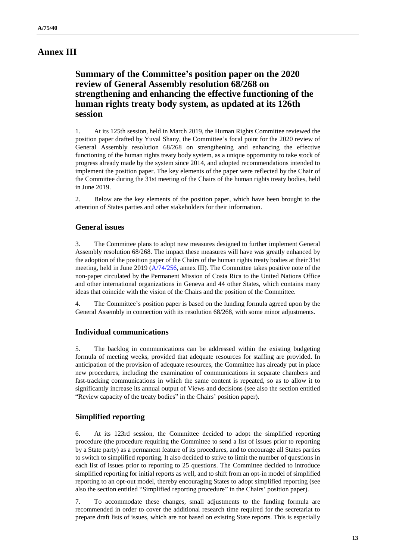## **Annex III**

## **Summary of the Committee's position paper on the 2020 review of General Assembly resolution 68/268 on strengthening and enhancing the effective functioning of the human rights treaty body system, as updated at its 126th session**

1. At its 125th session, held in March 2019, the Human Rights Committee reviewed the position paper drafted by Yuval Shany, the Committee's focal point for the 2020 review of General Assembly resolution 68/268 on strengthening and enhancing the effective functioning of the human rights treaty body system, as a unique opportunity to take stock of progress already made by the system since 2014, and adopted recommendations intended to implement the position paper. The key elements of the paper were reflected by the Chair of the Committee during the 31st meeting of the Chairs of the human rights treaty bodies, held in June 2019.

2. Below are the key elements of the position paper, which have been brought to the attention of States parties and other stakeholders for their information.

#### **General issues**

3. The Committee plans to adopt new measures designed to further implement General Assembly resolution 68/268. The impact these measures will have was greatly enhanced by the adoption of the position paper of the Chairs of the human rights treaty bodies at their 31st meeting, held in June 2019 [\(A/74/256,](http://undocs.org/en/A/74/256) annex III). The Committee takes positive note of the non-paper circulated by the Permanent Mission of Costa Rica to the United Nations Office and other international organizations in Geneva and 44 other States, which contains many ideas that coincide with the vision of the Chairs and the position of the Committee.

4. The Committee's position paper is based on the funding formula agreed upon by the General Assembly in connection with its resolution 68/268, with some minor adjustments.

#### **Individual communications**

5. The backlog in communications can be addressed within the existing budgeting formula of meeting weeks, provided that adequate resources for staffing are provided. In anticipation of the provision of adequate resources, the Committee has already put in place new procedures, including the examination of communications in separate chambers and fast-tracking communications in which the same content is repeated, so as to allow it to significantly increase its annual output of Views and decisions (see also the section entitled "Review capacity of the treaty bodies" in the Chairs' position paper).

## **Simplified reporting**

6. At its 123rd session, the Committee decided to adopt the simplified reporting procedure (the procedure requiring the Committee to send a list of issues prior to reporting by a State party) as a permanent feature of its procedures, and to encourage all States parties to switch to simplified reporting. It also decided to strive to limit the number of questions in each list of issues prior to reporting to 25 questions. The Committee decided to introduce simplified reporting for initial reports as well, and to shift from an opt-in model of simplified reporting to an opt-out model, thereby encouraging States to adopt simplified reporting (see also the section entitled "Simplified reporting procedure" in the Chairs' position paper).

7. To accommodate these changes, small adjustments to the funding formula are recommended in order to cover the additional research time required for the secretariat to prepare draft lists of issues, which are not based on existing State reports. This is especially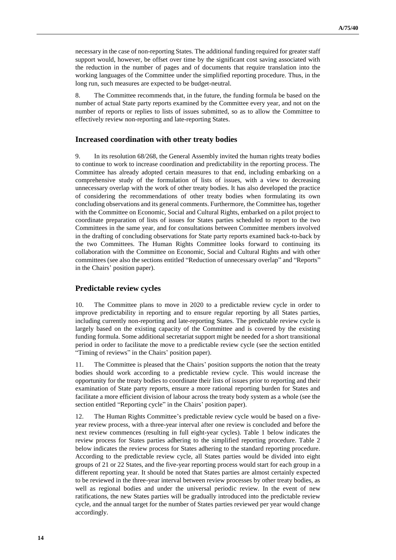necessary in the case of non-reporting States. The additional funding required for greater staff support would, however, be offset over time by the significant cost saving associated with the reduction in the number of pages and of documents that require translation into the working languages of the Committee under the simplified reporting procedure. Thus, in the long run, such measures are expected to be budget-neutral.

8. The Committee recommends that, in the future, the funding formula be based on the number of actual State party reports examined by the Committee every year, and not on the number of reports or replies to lists of issues submitted, so as to allow the Committee to effectively review non-reporting and late-reporting States.

#### **Increased coordination with other treaty bodies**

9. In its resolution 68/268, the General Assembly invited the human rights treaty bodies to continue to work to increase coordination and predictability in the reporting process. The Committee has already adopted certain measures to that end, including embarking on a comprehensive study of the formulation of lists of issues, with a view to decreasing unnecessary overlap with the work of other treaty bodies. It has also developed the practice of considering the recommendations of other treaty bodies when formulating its own concluding observations and its general comments. Furthermore, the Committee has, together with the Committee on Economic, Social and Cultural Rights, embarked on a pilot project to coordinate preparation of lists of issues for States parties scheduled to report to the two Committees in the same year, and for consultations between Committee members involved in the drafting of concluding observations for State party reports examined back-to-back by the two Committees. The Human Rights Committee looks forward to continuing its collaboration with the Committee on Economic, Social and Cultural Rights and with other committees (see also the sections entitled "Reduction of unnecessary overlap" and "Reports" in the Chairs' position paper).

#### **Predictable review cycles**

10. The Committee plans to move in 2020 to a predictable review cycle in order to improve predictability in reporting and to ensure regular reporting by all States parties, including currently non-reporting and late-reporting States. The predictable review cycle is largely based on the existing capacity of the Committee and is covered by the existing funding formula. Some additional secretariat support might be needed for a short transitional period in order to facilitate the move to a predictable review cycle (see the section entitled "Timing of reviews" in the Chairs' position paper).

11. The Committee is pleased that the Chairs' position supports the notion that the treaty bodies should work according to a predictable review cycle. This would increase the opportunity for the treaty bodies to coordinate their lists of issues prior to reporting and their examination of State party reports, ensure a more rational reporting burden for States and facilitate a more efficient division of labour across the treaty body system as a whole (see the section entitled "Reporting cycle" in the Chairs' position paper).

12. The Human Rights Committee's predictable review cycle would be based on a fiveyear review process, with a three-year interval after one review is concluded and before the next review commences (resulting in full eight-year cycles). Table 1 below indicates the review process for States parties adhering to the simplified reporting procedure. Table 2 below indicates the review process for States adhering to the standard reporting procedure. According to the predictable review cycle, all States parties would be divided into eight groups of 21 or 22 States, and the five-year reporting process would start for each group in a different reporting year. It should be noted that States parties are almost certainly expected to be reviewed in the three-year interval between review processes by other treaty bodies, as well as regional bodies and under the universal periodic review. In the event of new ratifications, the new States parties will be gradually introduced into the predictable review cycle, and the annual target for the number of States parties reviewed per year would change accordingly.